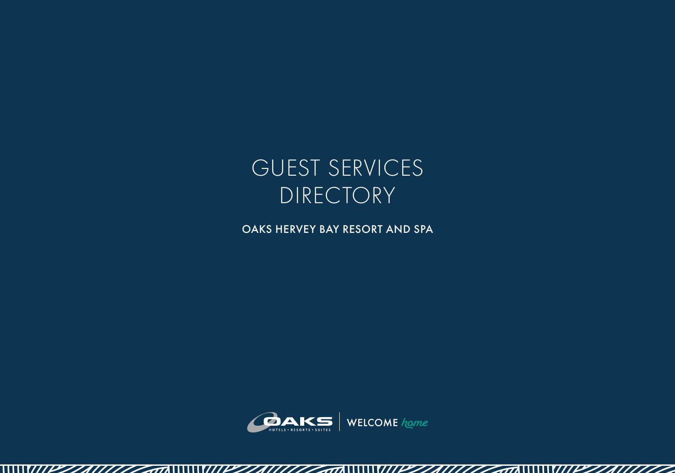

OAKS HERVEY BAY RESORT AND SPA



 $\sqrt{2\pi}$ 

 $111777777$ 

\\\\\PZZA\\\\